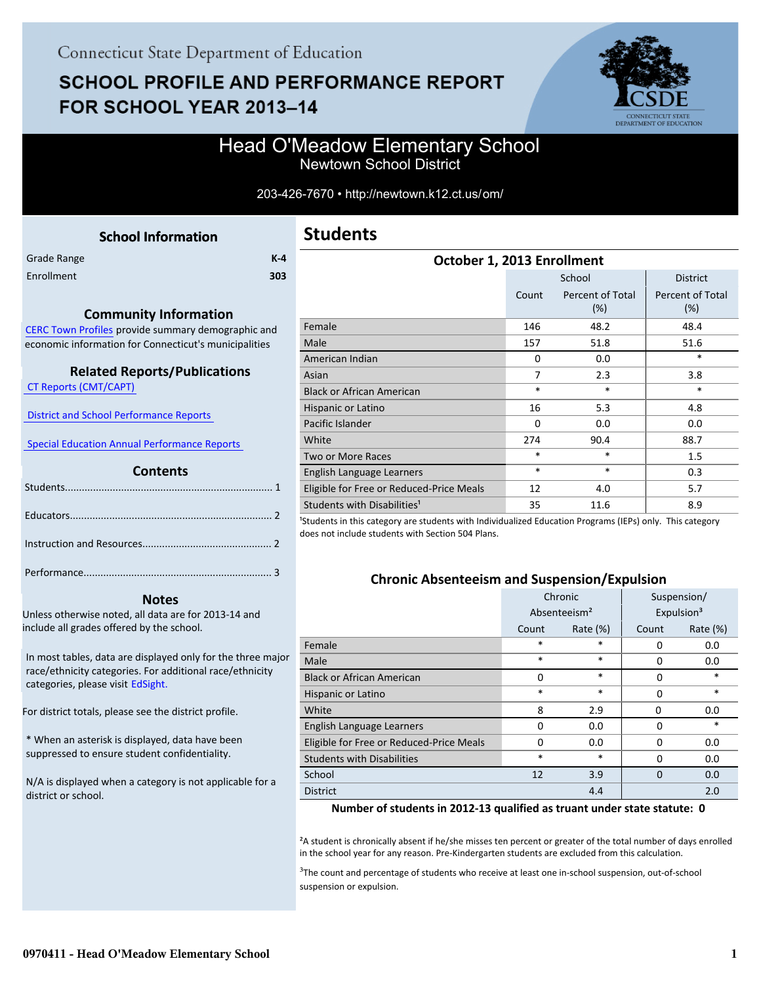# **SCHOOL PROFILE AND PERFORMANCE REPORT** FOR SCHOOL YEAR 2013-14



## Head O'Meadow Elementary School Newtown School District

#### 203-426-7670 • http://newtown.k12.ct.us/om/

<span id="page-0-0"></span>

| <b>School Information</b> |         |
|---------------------------|---------|
|                           | $K - 4$ |
|                           | 303     |
|                           |         |

#### **Community Information**

[CERC Town Profiles provide summary demographic and](http://www.cerc.com/townprofiles/) economic information for Connecticut's municipalities

#### **Related Reports/Publications**

 [CT Reports \(CMT/CAPT\)](http://ctreports.com/) 

 [District and School Performance Reports](http://www.csde.state.ct.us/public/performancereports/reports.asp) 

 [Special Education Annual Performance Reports](http://sdeportal.ct.gov/Cedar/WEB/ResearchandReports/AnnualPerformanceReport.aspx) 

#### **Contents**

#### **Notes**

Unless otherwise noted, all data are for 2013-14 and include all grades offered by the school.

[In most tables, data are displayed only for the three major](http://edsight.ct.gov) race/ethnicity categories. For additional race/ethnicity categories, please visit EdSight.

For district totals, please see the district profile.

\* When an asterisk is displayed, data have been suppressed to ensure student confidentiality.

N/A is displayed when a category is not applicable for a district or school.

| <b>Students</b> |  |
|-----------------|--|
|-----------------|--|

| October 1, 2013 Enrollment               |                           |                            |                         |  |  |
|------------------------------------------|---------------------------|----------------------------|-------------------------|--|--|
|                                          | School<br><b>District</b> |                            |                         |  |  |
|                                          | Count                     | Percent of Total<br>$(\%)$ | Percent of Total<br>(%) |  |  |
| Female                                   | 146                       | 48.2                       | 48.4                    |  |  |
| Male                                     | 157                       | 51.8                       | 51.6                    |  |  |
| American Indian                          | $\Omega$                  | 0.0                        | *                       |  |  |
| Asian                                    | $\overline{7}$            | 2.3                        | 3.8                     |  |  |
| <b>Black or African American</b>         | $\ast$                    | $\ast$                     | $\ast$                  |  |  |
| Hispanic or Latino                       | 16                        | 5.3                        | 4.8                     |  |  |
| Pacific Islander                         | $\Omega$                  | 0.0                        | 0.0                     |  |  |
| White                                    | 274                       | 90.4                       | 88.7                    |  |  |
| Two or More Races                        | *                         | $\ast$                     | 1.5                     |  |  |
| English Language Learners                | $\ast$                    | $\ast$                     | 0.3                     |  |  |
| Eligible for Free or Reduced-Price Meals | 12                        | 4.0                        | 5.7                     |  |  |
| Students with Disabilities <sup>1</sup>  | 35                        | 11.6                       | 8.9                     |  |  |

<sup>1</sup>Students in this category are students with Individualized Education Programs (IEPs) only. This category does not include students with Section 504 Plans.

#### **Chronic Absenteeism and Suspension/Expulsion**

|                                          |        | Chronic                  | Suspension/ |                        |  |
|------------------------------------------|--------|--------------------------|-------------|------------------------|--|
|                                          |        | Absenteeism <sup>2</sup> |             | Expulsion <sup>3</sup> |  |
|                                          | Count  | Rate $(\%)$              | Count       | Rate (%)               |  |
| Female                                   | *      | *                        | $\Omega$    | 0.0                    |  |
| Male                                     | *      | *                        | 0           | 0.0                    |  |
| <b>Black or African American</b>         | 0      | *                        | $\Omega$    | *                      |  |
| Hispanic or Latino                       | *<br>* |                          | $\Omega$    | *                      |  |
| White                                    | 8      | 2.9                      | 0           | 0.0                    |  |
| English Language Learners                | 0      | 0.0                      | 0           | *                      |  |
| Eligible for Free or Reduced-Price Meals | 0      | 0.0                      | $\Omega$    | 0.0                    |  |
| <b>Students with Disabilities</b>        | *      | *                        | $\Omega$    | 0.0                    |  |
| School                                   | 12     | 3.9                      | $\Omega$    | 0.0                    |  |
| <b>District</b>                          |        | 4.4                      |             | 2.0                    |  |

#### **Number of students in 2012-13 qualified as truant under state statute: 0**

²A student is chronically absent if he/she misses ten percent or greater of the total number of days enrolled in the school year for any reason. Pre-Kindergarten students are excluded from this calculation.

<sup>3</sup>The count and percentage of students who receive at least one in-school suspension, out-of-school suspension or expulsion.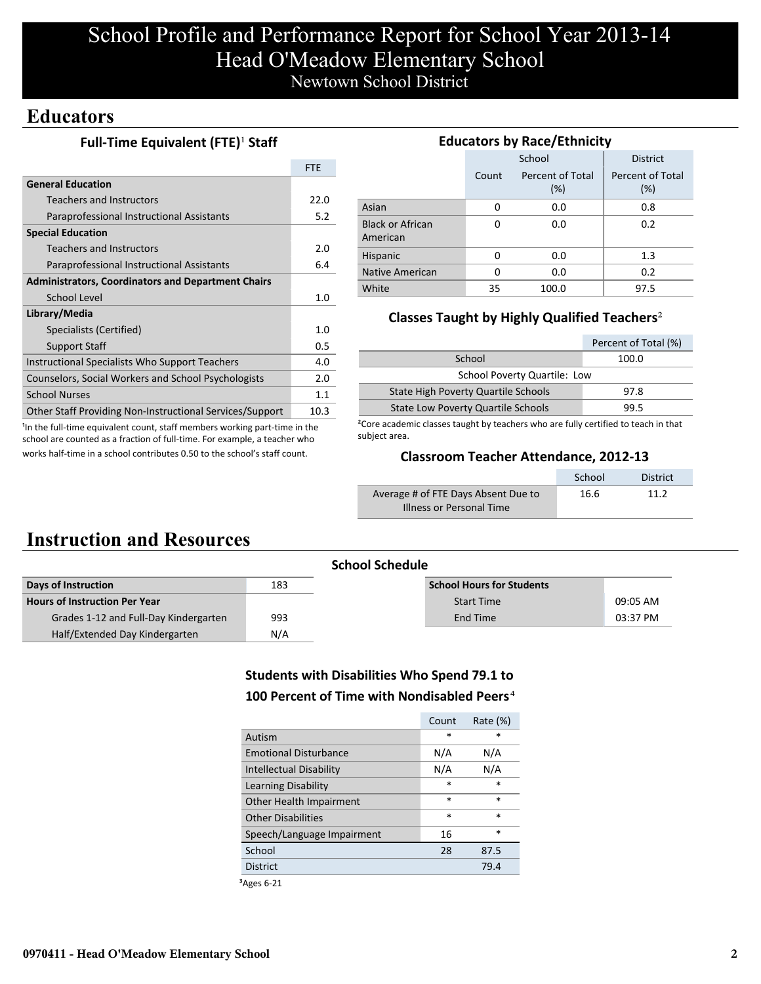# School Profile and Performance Report for School Year 2013-14 Head O'Meadow Elementary School Newtown School District

# **Educators**

## **Full-Time Equivalent (FTE)<sup>1</sup> Staff**

|                                                           | <b>FTE</b> |
|-----------------------------------------------------------|------------|
| <b>General Education</b>                                  |            |
| <b>Teachers and Instructors</b>                           | 22.O       |
| Paraprofessional Instructional Assistants                 | 5.2        |
| <b>Special Education</b>                                  |            |
| <b>Teachers and Instructors</b>                           | 2.0        |
| Paraprofessional Instructional Assistants                 | 6.4        |
| <b>Administrators, Coordinators and Department Chairs</b> |            |
| School Level                                              | 1.0        |
| Library/Media                                             |            |
| Specialists (Certified)                                   | 1.0        |
| <b>Support Staff</b>                                      | 0.5        |
| Instructional Specialists Who Support Teachers            | 4.0        |
| Counselors, Social Workers and School Psychologists       | 2.0        |
| <b>School Nurses</b>                                      | 1.1        |
| Other Staff Providing Non-Instructional Services/Support  | 10.3       |

<sup>1</sup>In the full-time equivalent count, staff members working part-time in the school are counted as a fraction of full-time. For example, a teacher who works half-time in a school contributes 0.50 to the school's staff count.

| <b>Educators by Race/Ethnicity</b>  |       |                         |                         |  |  |  |
|-------------------------------------|-------|-------------------------|-------------------------|--|--|--|
|                                     |       | School                  | <b>District</b>         |  |  |  |
|                                     | Count | Percent of Total<br>(%) | Percent of Total<br>(%) |  |  |  |
| Asian                               | 0     | 0.0                     | 0.8                     |  |  |  |
| <b>Black or African</b><br>American | 0     | 0.0                     | 0.2                     |  |  |  |
| Hispanic                            | 0     | 0.0                     | 1.3                     |  |  |  |
| Native American                     | 0     | 0.0                     | 0.2                     |  |  |  |
| White                               | 35    | 100.0                   | 97.5                    |  |  |  |

## **Classes Taught by Highly Qualified Teachers**²

|                                           | Percent of Total (%) |
|-------------------------------------------|----------------------|
| School                                    | 100.0                |
| <b>School Poverty Quartile: Low</b>       |                      |
| State High Poverty Quartile Schools       | 97.8                 |
| <b>State Low Poverty Quartile Schools</b> | 99.5                 |

²Core academic classes taught by teachers who are fully certified to teach in that subject area.

## **Classroom Teacher Attendance, 2012-13**

|                                     | School | <b>District</b> |
|-------------------------------------|--------|-----------------|
| Average # of FTE Days Absent Due to | 16.6   | 11 2            |
| Illness or Personal Time            |        |                 |

# **Instruction and Resources**

| <b>School Schedule</b>           |          |
|----------------------------------|----------|
| <b>School Hours for Students</b> |          |
| <b>Start Time</b>                | 09:05 AM |
| End Time                         | 03:37 PM |
|                                  |          |
|                                  |          |

## **Students with Disabilities Who Spend 79.1 to 100 Percent of Time with Nondisabled Peers**⁴

|                              | Count  | Rate $(\%)$ |
|------------------------------|--------|-------------|
| Autism                       | $\ast$ | *           |
| <b>Emotional Disturbance</b> | N/A    | N/A         |
| Intellectual Disability      | N/A    | N/A         |
| Learning Disability          | $\ast$ | $\ast$      |
| Other Health Impairment      | $\ast$ | $\ast$      |
| <b>Other Disabilities</b>    | $\ast$ | $\ast$      |
| Speech/Language Impairment   | 16     | $\ast$      |
| School                       | 28     | 87.5        |
| <b>District</b>              |        | 79.4        |
| $\overline{\phantom{a}}$     |        |             |

 ${}^3$ Ages 6-21